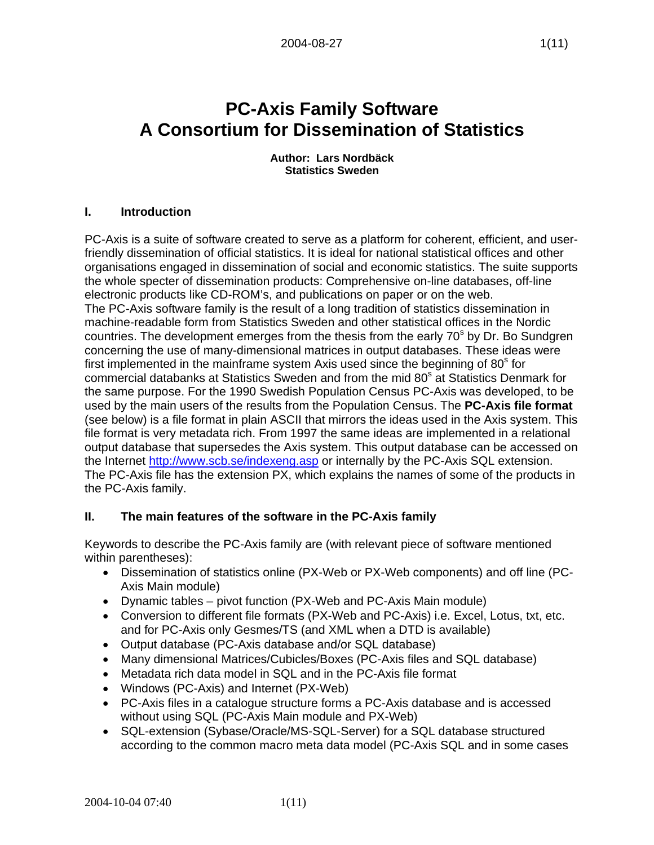# **PC-Axis Family Software A Consortium for Dissemination of Statistics**

**Author: Lars Nordbäck Statistics Sweden** 

# **I. Introduction**

PC-Axis is a suite of software created to serve as a platform for coherent, efficient, and userfriendly dissemination of official statistics. It is ideal for national statistical offices and other organisations engaged in dissemination of social and economic statistics. The suite supports the whole specter of dissemination products: Comprehensive on-line databases, off-line electronic products like CD-ROM's, and publications on paper or on the web. The PC-Axis software family is the result of a long tradition of statistics dissemination in machine-readable form from Statistics Sweden and other statistical offices in the Nordic countries. The development emerges from the thesis from the early 70<sup>s</sup> by Dr. Bo Sundgren concerning the use of many-dimensional matrices in output databases. These ideas were first implemented in the mainframe system Axis used since the beginning of  $80<sup>s</sup>$  for commercial databanks at Statistics Sweden and from the mid 80<sup>s</sup> at Statistics Denmark for the same purpose. For the 1990 Swedish Population Census PC-Axis was developed, to be used by the main users of the results from the Population Census. The **PC-Axis file format** (see below) is a file format in plain ASCII that mirrors the ideas used in the Axis system. This file format is very metadata rich. From 1997 the same ideas are implemented in a relational output database that supersedes the Axis system. This output database can be accessed on the Internet http://www.scb.se/indexeng.asp or internally by the PC-Axis SQL extension. The PC-Axis file has the extension PX, which explains the names of some of the products in the PC-Axis family.

# **II. The main features of the software in the PC-Axis family**

Keywords to describe the PC-Axis family are (with relevant piece of software mentioned within parentheses):

- Dissemination of statistics online (PX-Web or PX-Web components) and off line (PC-Axis Main module)
- Dynamic tables pivot function (PX-Web and PC-Axis Main module)
- Conversion to different file formats (PX-Web and PC-Axis) i.e. Excel, Lotus, txt, etc. and for PC-Axis only Gesmes/TS (and XML when a DTD is available)
- Output database (PC-Axis database and/or SQL database)
- Many dimensional Matrices/Cubicles/Boxes (PC-Axis files and SQL database)
- Metadata rich data model in SQL and in the PC-Axis file format
- Windows (PC-Axis) and Internet (PX-Web)
- PC-Axis files in a catalogue structure forms a PC-Axis database and is accessed without using SQL (PC-Axis Main module and PX-Web)
- SQL-extension (Sybase/Oracle/MS-SQL-Server) for a SQL database structured according to the common macro meta data model (PC-Axis SQL and in some cases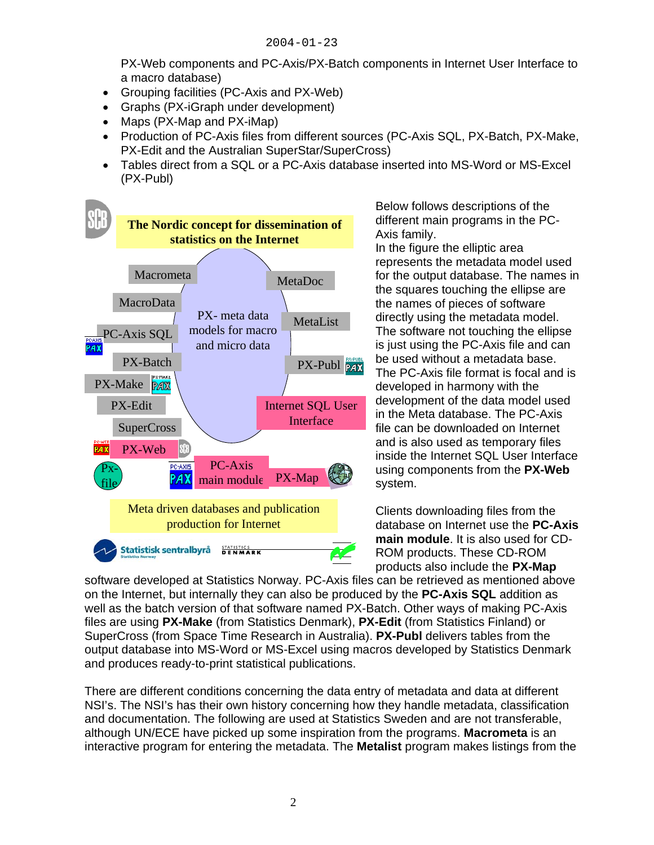PX-Web components and PC-Axis/PX-Batch components in Internet User Interface to a macro database)

- Grouping facilities (PC-Axis and PX-Web)
- Graphs (PX-iGraph under development)
- Maps (PX-Map and PX-iMap)
- Production of PC-Axis files from different sources (PC-Axis SQL, PX-Batch, PX-Make, PX-Edit and the Australian SuperStar/SuperCross)
- Tables direct from a SQL or a PC-Axis database inserted into MS-Word or MS-Excel (PX-Publ)



Below follows descriptions of the different main programs in the PC-Axis family.

In the figure the elliptic area represents the metadata model used for the output database. The names in the squares touching the ellipse are the names of pieces of software directly using the metadata model. The software not touching the ellipse is just using the PC-Axis file and can be used without a metadata base. The PC-Axis file format is focal and is developed in harmony with the development of the data model used in the Meta database. The PC-Axis file can be downloaded on Internet and is also used as temporary files inside the Internet SQL User Interface using components from the **PX-Web** system.

Clients downloading files from the database on Internet use the **PC-Axis main module**. It is also used for CD-ROM products. These CD-ROM products also include the **PX-Map**

software developed at Statistics Norway. PC-Axis files can be retrieved as mentioned above on the Internet, but internally they can also be produced by the **PC-Axis SQL** addition as well as the batch version of that software named PX-Batch. Other ways of making PC-Axis files are using **PX-Make** (from Statistics Denmark), **PX-Edit** (from Statistics Finland) or SuperCross (from Space Time Research in Australia). **PX-Publ** delivers tables from the output database into MS-Word or MS-Excel using macros developed by Statistics Denmark and produces ready-to-print statistical publications.

There are different conditions concerning the data entry of metadata and data at different NSI's. The NSI's has their own history concerning how they handle metadata, classification and documentation. The following are used at Statistics Sweden and are not transferable, although UN/ECE have picked up some inspiration from the programs. **Macrometa** is an interactive program for entering the metadata. The **Metalist** program makes listings from the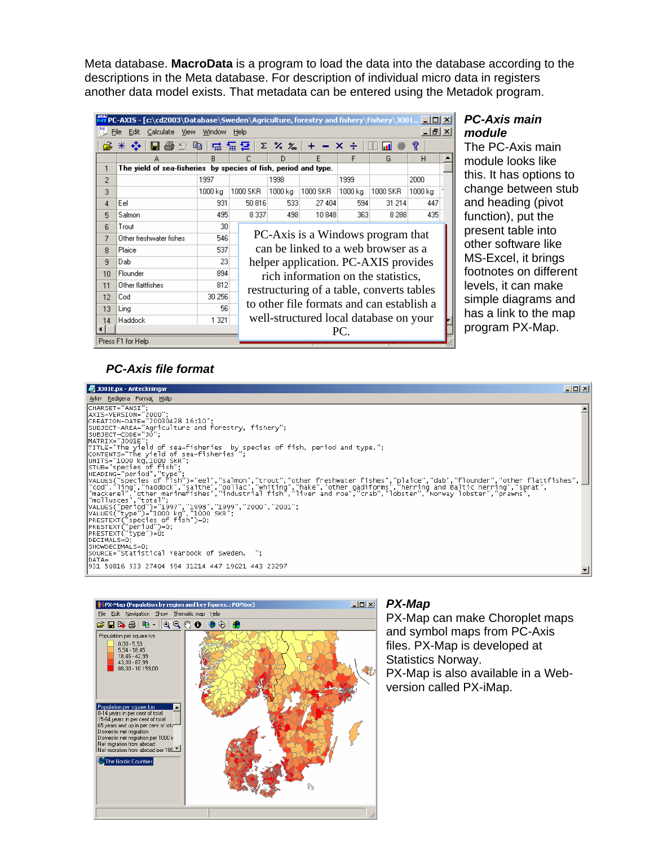Meta database. **MacroData** is a program to load the data into the database according to the descriptions in the Meta database. For description of individual micro data in registers another data model exists. That metadata can be entered using the Metadok program.

| <b>AX PC-AXIS - [c:\cd2003\Database\Sweden\Agriculture, forestry and fishery\Fishery\J001 _ O   X</b> |                                                                 |                                                 |                                                                                   |          |                 |                |         |          |         |  |
|-------------------------------------------------------------------------------------------------------|-----------------------------------------------------------------|-------------------------------------------------|-----------------------------------------------------------------------------------|----------|-----------------|----------------|---------|----------|---------|--|
| <u>_ 레지</u><br>File<br>Edit<br>Calculate View<br>Window<br>Help                                       |                                                                 |                                                 |                                                                                   |          |                 |                |         |          |         |  |
|                                                                                                       | 心面<br>ê.<br>⋇.                                                  | 帚                                               |                                                                                   | 도 군.     | $\Sigma$ % $\%$ | $- x +$<br>$+$ |         | u۱       | R       |  |
|                                                                                                       | А                                                               | R                                               |                                                                                   |          | D               | F              | F       | G        | H       |  |
| 1                                                                                                     | The yield of sea-fisheries by species of fish, period and type. |                                                 |                                                                                   |          |                 |                |         |          |         |  |
| 2                                                                                                     |                                                                 | 1997                                            |                                                                                   |          | 1998            |                | 1999    |          | 2000    |  |
| 3                                                                                                     |                                                                 | 1000 kg                                         |                                                                                   | 1000 SKR | 1000 kg         | 1000 SKR       | 1000 kg | 1000 SKR | 1000 ka |  |
| 4                                                                                                     | Eel                                                             | 931                                             |                                                                                   | 50 816   | 533             | 27 404         | 594     | 31 214   | 447     |  |
| 5                                                                                                     | Salmon                                                          | 495                                             |                                                                                   | 8 3 3 7  | 498             | 10848          | 363     | 8 2 8 8  | 435     |  |
| 6                                                                                                     | Trout                                                           | 30 <sup>1</sup>                                 |                                                                                   |          |                 |                |         |          |         |  |
| 7                                                                                                     | Other freshwater fishes                                         | 546                                             | PC-Axis is a Windows program that                                                 |          |                 |                |         |          |         |  |
| 8                                                                                                     | Plaice                                                          | 537                                             | can be linked to a web browser as a<br>23<br>helper application. PC-AXIS provides |          |                 |                |         |          |         |  |
| $\overline{a}$                                                                                        | Dab                                                             |                                                 |                                                                                   |          |                 |                |         |          |         |  |
| 10                                                                                                    | Flounder                                                        | 894                                             | rich information on the statistics,                                               |          |                 |                |         |          |         |  |
| 11                                                                                                    | Other flattfishes                                               | 812                                             |                                                                                   |          |                 |                |         |          |         |  |
| 12                                                                                                    | Cod                                                             | 30 256                                          | restructuring of a table, converts tables                                         |          |                 |                |         |          |         |  |
| 13                                                                                                    | Ling                                                            | to other file formats and can establish a<br>56 |                                                                                   |          |                 |                |         |          |         |  |
| 14                                                                                                    | Haddock                                                         | 1 3 2 1                                         | well-structured local database on your                                            |          |                 |                |         |          |         |  |
|                                                                                                       |                                                                 |                                                 |                                                                                   |          |                 |                | PC.     |          |         |  |
| Press F1 for Help                                                                                     |                                                                 |                                                 |                                                                                   |          |                 |                |         |          |         |  |

### *PC-Axis main module*

The PC-Axis main module looks like this. It has options to change between stub and heading (pivot function), put the present table into other software like MS-Excel, it brings footnotes on different levels, it can make simple diagrams and has a link to the map program PX-Map.

# *PC-Axis file format*





### *PX-Map*

PX-Map can make Choroplet maps and symbol maps from PC-Axis files. PX-Map is developed at Statistics Norway. PX-Map is also available in a Webversion called PX-iMap.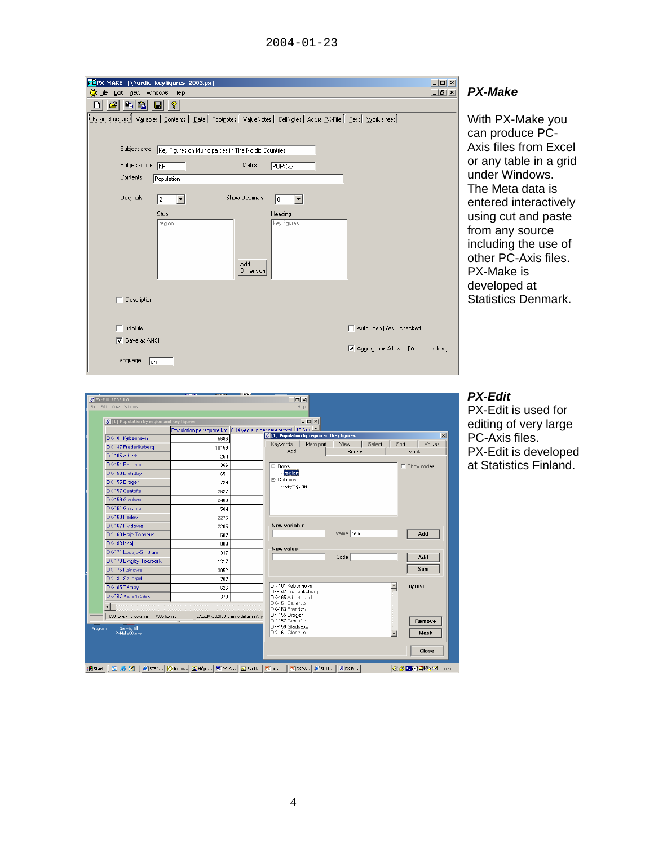| <b>Ma</b> PX-MAKE - [\Nordic_keyfigures_2003.px]<br>Eile Edit View Windows Help                                       | $\Box$ D $\times$<br>P)<br><b>니리지</b> |
|-----------------------------------------------------------------------------------------------------------------------|---------------------------------------|
| el<br><b>b</b> 6 F<br>P.                                                                                              |                                       |
| Basic structure Variables   Contents   Data   Footnotes   ValueNotes   CellNotes   Actual PX-File   Test   Work sheet | W                                     |
|                                                                                                                       | ca                                    |
| Subject-area<br>Key Figures on Municipalities in The Nordic Countries                                                 | A١                                    |
| Subject-code KF<br>Matrix<br>POPXxe                                                                                   | or                                    |
| Contents<br>Population                                                                                                | ur                                    |
| <b>Show Decimals</b><br>Decimals<br>$\vert \cdot \vert$<br>l2<br>0<br>$\overline{\phantom{a}}$                        | Tŀ                                    |
| Stub<br>Heading                                                                                                       | er                                    |
| key figures<br>region                                                                                                 | us<br>frc                             |
|                                                                                                                       | in                                    |
|                                                                                                                       | otl                                   |
| Add<br>Dimension                                                                                                      | P)                                    |
|                                                                                                                       | de                                    |
| Description                                                                                                           | <b>St</b>                             |
|                                                                                                                       |                                       |
| $\Box$ InfoFile<br>AutoDpen (Yes if checked)                                                                          |                                       |
| $\nabla$ Save as ANSI<br>☑ Aggregation Allowed [Yes if checked]                                                       |                                       |
| Language<br>$\mathsf{len}$                                                                                            |                                       |

# *PX-Make*

ith PX-Make you in produce PCkis files from Excel any table in a grid der Windows. ne Meta data is ntered interactively sing cut and paste om any source cluding the use of her PC-Axis files. PX-Make is eveloped at atistics Denmark.

#### *PX-Edit*

PX-Edit is used for editing of very large PC-Axis files. PX-Edit is developed at Statistics Finland.

| $\epsilon$ [1] Population by region and key figures. |                                    | $-10x$<br>0-14 years in per controf total 115-64 v |           |                          |                     |
|------------------------------------------------------|------------------------------------|----------------------------------------------------|-----------|--------------------------|---------------------|
|                                                      | Population per square km           | <b>S</b> [1] Population by region and key figures. |           |                          |                     |
| DK-101 København                                     | 5696                               | Keywords<br>Meta part                              | View      | Select                   | Values<br>Sort      |
| DK-147 Frederiksberg                                 | 10159                              | <b>Add</b>                                         | Search    |                          | Mask                |
| DK-165 Albertslund                                   | 1254                               |                                                    |           |                          |                     |
| DK-151 Ballerup                                      | 1366                               | E-Rows                                             |           |                          | <b>F</b> Show codes |
| DK-153 Brøndby                                       | 1651                               | region<br>in-Columns                               |           |                          |                     |
| DK-155 Dragør                                        | 724                                | - key figures                                      |           |                          |                     |
| DK-157 Gentofte                                      | 2627                               |                                                    |           |                          |                     |
| DK-159 Gladsaxe                                      | 2480                               |                                                    |           |                          |                     |
| DK-161 Glostrup                                      | 1584                               |                                                    |           |                          |                     |
| DK-163 Herley                                        | 2276                               |                                                    |           |                          |                     |
| DK-167 Hvidovre                                      | 2265                               | New variable                                       |           |                          |                     |
| DK-169 Høje Taastrup                                 | 587                                |                                                    | Value new |                          | Add                 |
| DK-183 Ishøi                                         | 809                                |                                                    |           |                          |                     |
| DK-171 Ledøje-Smørum                                 | 337                                | New value                                          | Code      |                          | Add                 |
| DK-173 Lyngby-Taarbæk                                | 1317                               |                                                    |           |                          |                     |
| DK-175 Rødovre                                       | 3052                               |                                                    |           |                          | Sum                 |
| DK-181 Søllerød                                      | 787                                |                                                    |           |                          |                     |
| DK-185 Tårnbv                                        | 626                                | DK-101 København<br>DK-147 Frederiksberg           |           | $\overline{\phantom{a}}$ | 0/1058              |
| DK-187 Vallensbæk                                    | 1370                               | DK-165 Albertslund                                 |           |                          |                     |
|                                                      |                                    | DK-151 Ballerup                                    |           |                          |                     |
| 1058 rows x 17 columns = 17986 figures               | L:\GEM\cd2003\Samnordiska filer\ny | DK-153 Brøndby<br>DK-155 Dragør                    |           |                          |                     |
|                                                      |                                    | DK-157 Gentofte                                    |           |                          | Remove              |
| Genväg till<br>Program<br>PXMake00.exe               |                                    | DK-159 Gladsaxe<br>DK-161 Glostrup                 |           | $\blacktriangledown$     | Mask                |
|                                                      |                                    |                                                    |           |                          |                     |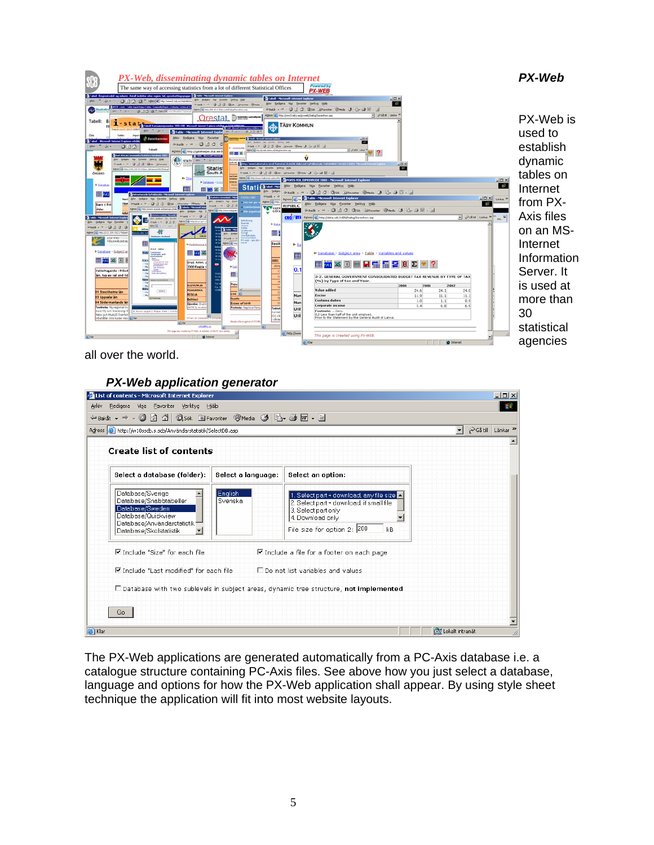

all over the world.

## *PX-Web application generator*

| Redigera<br>Visa Favoriter Verktyg Hjälp<br>બenkå - → - © ① ① ① Kosök Befavoriter + 10 Media ⓒ B - 그 Ko - 크 Ko - 트<br>Adress & http://w10sscb.s.scb/Användarstatistik/SelectDB.asp |                    |                                                                                                                                                                      | $\blacktriangleright$ $\heartsuit$ Gå till Länkar $\aleph$ |
|------------------------------------------------------------------------------------------------------------------------------------------------------------------------------------|--------------------|----------------------------------------------------------------------------------------------------------------------------------------------------------------------|------------------------------------------------------------|
| <b>Create list of contents</b>                                                                                                                                                     |                    |                                                                                                                                                                      |                                                            |
| Select a database (folder):                                                                                                                                                        | Select a language: | Select an option:                                                                                                                                                    |                                                            |
| Database/Sverige<br>Database/Snabbtabeller<br>Database/Sweden<br>Database/Quickview<br>Database/Användarstatistik<br>Database/Skolstatistik.<br>$\overline{\phantom{a}}$           | English<br>Svenska | 1. Select part + download, any file size<br>2. Select part + download, if small file<br>3. Select part only<br>4. Download only<br>File size for option 2: 200<br>kB |                                                            |
| $\nabla$ Include "Size" for each file                                                                                                                                              |                    | ■ Include a file for a footer on each page                                                                                                                           |                                                            |
| ■ Include "Last modified" for each file                                                                                                                                            |                    | $\Box$ Do not list variables and values                                                                                                                              |                                                            |
| Go.                                                                                                                                                                                |                    | □ Database with two sublevels in subject areas, dynamic tree structure, not implemented                                                                              |                                                            |
| e Klar                                                                                                                                                                             |                    |                                                                                                                                                                      | de Lokalt intranät                                         |

The PX-Web applications are generated automatically from a PC-Axis database i.e. a catalogue structure containing PC-Axis files. See above how you just select a database, language and options for how the PX-Web application shall appear. By using style sheet technique the application will fit into most website layouts.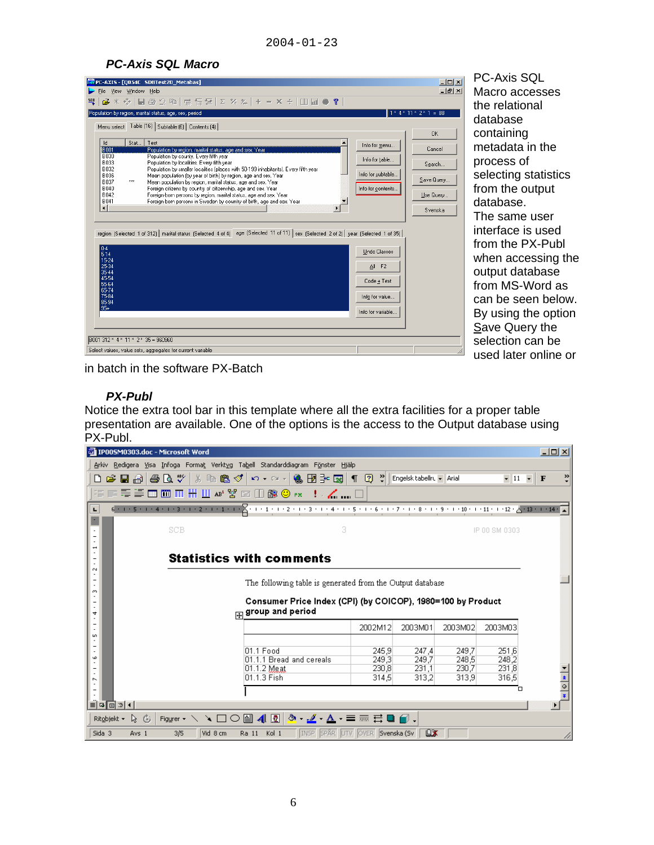# *PC-Axis SQL Macro*

| $-12X$<br>AVPC-AXIS - [Q054C SDBTest20_Metabas]<br>$  n $ $\times$<br>File View Window Help                                                                                                                                                                                                                                                                                                                                                                                                                                                                                        | <b>PC-Axis SQL</b><br>Macro access                                                                 |
|------------------------------------------------------------------------------------------------------------------------------------------------------------------------------------------------------------------------------------------------------------------------------------------------------------------------------------------------------------------------------------------------------------------------------------------------------------------------------------------------------------------------------------------------------------------------------------|----------------------------------------------------------------------------------------------------|
| $1*4*11*2*1 = 88$<br>Population by region, marital status, age, sex, period<br>Menu select Table (16) Subtable (6) Contents (4)<br><b>OK</b><br><b>Id</b><br>Stat Text<br>Info for menu<br>Cancel<br>BOOT<br>Population by region, marital status, age and sex. Year<br><b>B030</b><br>Population by county. Every fifth year<br>Info for table<br>B033<br>Population by localities. Every fifth year<br>Search                                                                                                                                                                    | the relational<br>database<br>containing<br>metadata in th<br>process of                           |
| B032<br>Population by smaller localities (places with 50-199 inhabitants). Every fifth year<br>Info for subtable.<br>B036<br>Mean population (by year of birth) by region, age and sex. Year<br>Save Query<br>B037<br>Mean population by region, marital status, age and sex. Year<br>Info for contents<br>B040<br>Foreign citizens by country of citizenship, age and sex. Year<br>B042<br>Foreign-born persons by region, marital status, age and sex. Year<br>Use Query<br>B041<br>Foreign-born persons in Sweden by country of birth, age and sex. Year<br>$\lvert$<br>Svenska | selecting stati<br>from the outpi<br>database.<br>The same use                                     |
| region (Selected 1 of 312) marital status (Selected 4 of 4) age (Selected 11 of 11) sex (Selected 2 of 2) year (Selected 1 of 35)<br>$0-4$<br><b>Undo Classes</b><br>$5-14$<br>15-24<br>25-34<br>All F <sub>2</sub><br>35-44<br>45-54<br>Code + Text<br>55-64<br>65-74<br>75-84<br>Info for value<br>85-94                                                                                                                                                                                                                                                                         | interface is us<br>from the PX-F<br>when accessi<br>output databa<br>from MS-Word<br>can be seen b |
| $95 +$<br>Info for variable<br>B001 312 * 4 * 11 * 2 * 35 = 960960<br>Select values, value sets, aggregates for current variable                                                                                                                                                                                                                                                                                                                                                                                                                                                   | By using the o<br>Save Query th<br>selection can                                                   |

Macro accesses the relational database containing metadata in the process of selecting statistics from the output database. The same user interface is used from the PX-Publ when accessing the output database from MS-Word as can be seen below. By using the option Save Query the selection can be used later online or

in batch in the software PX-Batch

## *PX-Publ*

Notice the extra tool bar in this template where all the extra facilities for a proper table presentation are available. One of the options is the access to the Output database using PX-Publ.

| $\Box$ ol $\times$<br>TI IP005M0303.doc - Microsoft Word                                                                                                                                      |                                                                                      |                                  |                                  |                                  |                                       |                               |  |  |
|-----------------------------------------------------------------------------------------------------------------------------------------------------------------------------------------------|--------------------------------------------------------------------------------------|----------------------------------|----------------------------------|----------------------------------|---------------------------------------|-------------------------------|--|--|
| Arkiv Redigera Visa Infoga Format Verktyg Tabell Standarddiagram Fönster Hjälp                                                                                                                |                                                                                      |                                  |                                  |                                  |                                       |                               |  |  |
| $\leq$ H $\odot$ $\mid$<br>O.                                                                                                                                                                 | - ● Q \$   X 4 @ 3 \$   x - a -   & B 3 58   1   2 *                                 |                                  | Engelsk tabellru + Arial         |                                  |                                       | $\bullet$ 11 $\bullet$ F<br>≫ |  |  |
|                                                                                                                                                                                               |                                                                                      |                                  |                                  |                                  |                                       |                               |  |  |
| $6 + 1 + 5 + 1 + 4 + 1 + 3 + 1 + 2 + 1 + 1 + 1 + \sqrt{2} + 1 + 1 + 1 + 2 + 1 + 3 + 1 + 4 + 1 + 5 + 1 + 6 + 1 + 7 + 1 + 8 + 1 + 9 + 1 + 10 + 1 + 11 + 1 + 12 + \sqrt{2} + 1 + 14 + \sqrt{2}}$ |                                                                                      |                                  |                                  |                                  |                                       |                               |  |  |
| SCB                                                                                                                                                                                           | Я                                                                                    |                                  |                                  |                                  | IP 00 SM 0303                         |                               |  |  |
| N                                                                                                                                                                                             | <b>Statistics with comments</b>                                                      |                                  |                                  |                                  |                                       |                               |  |  |
| m                                                                                                                                                                                             | The following table is generated from the Output database                            |                                  |                                  |                                  |                                       |                               |  |  |
| 4                                                                                                                                                                                             | Consumer Price Index (CPI) (by COICOP), 1980=100 by Product<br>group and period<br>中 |                                  |                                  |                                  |                                       |                               |  |  |
| m                                                                                                                                                                                             |                                                                                      | 2002M12                          | 2003M01                          | 2003M02                          | 2003M03                               |                               |  |  |
| w<br>r.                                                                                                                                                                                       | 01.1 Food<br>01.1.1 Bread and cereals<br>01.1.2 Meat<br>01.1.3 Fish                  | 245,9<br>249.3<br>230.8<br>314,5 | 247.4<br>249.7<br>231.1<br>313,2 | 249.7<br>248.5<br>230.7<br>313,9 | 251,6<br>248.2<br>231.8<br>316,5<br>ō | $\frac{1}{\sqrt{2}}$          |  |  |
| $\equiv$<br>国国国王<br>$\blacktriangleright$                                                                                                                                                     |                                                                                      |                                  |                                  |                                  |                                       |                               |  |  |
| Figurer ヽヽヽ□○图412 <mark>.</mark> . 三三弓■ <i>■</i> .<br>ふん<br>Ritobjekt +                                                                                                                       |                                                                                      |                                  |                                  |                                  |                                       |                               |  |  |
| LX<br>Kol 1<br>INSP SPÅR UTV ÖVER Svenska (Sv<br>Sida 3<br>Vid 8 cm<br>3/5<br>Ra 11<br>Avs 1                                                                                                  |                                                                                      |                                  |                                  |                                  |                                       |                               |  |  |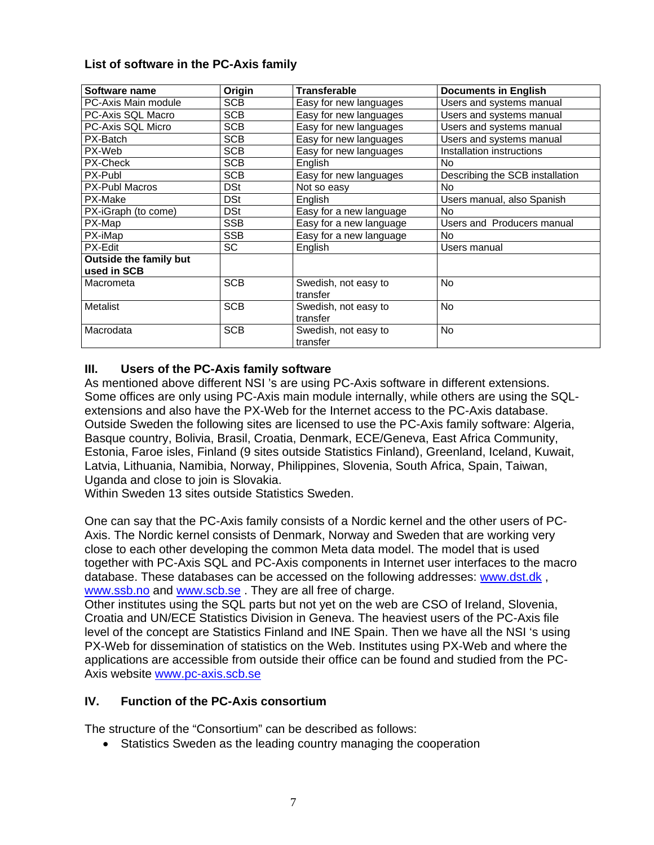# **List of software in the PC-Axis family**

| Software name                 | Origin     | <b>Transferable</b>              | <b>Documents in English</b>     |
|-------------------------------|------------|----------------------------------|---------------------------------|
| PC-Axis Main module           | <b>SCB</b> | Easy for new languages           | Users and systems manual        |
| PC-Axis SQL Macro             | <b>SCB</b> | Easy for new languages           | Users and systems manual        |
| PC-Axis SQL Micro             | SCB        | Easy for new languages           | Users and systems manual        |
| PX-Batch                      | <b>SCB</b> | Easy for new languages           | Users and systems manual        |
| PX-Web                        | <b>SCB</b> | Easy for new languages           | Installation instructions       |
| PX-Check                      | <b>SCB</b> | English                          | <b>No</b>                       |
| PX-Publ                       | <b>SCB</b> | Easy for new languages           | Describing the SCB installation |
| <b>PX-Publ Macros</b>         | <b>DSt</b> | Not so easy                      | <b>No</b>                       |
| PX-Make                       | <b>DSt</b> | English                          | Users manual, also Spanish      |
| PX-iGraph (to come)           | <b>DSt</b> | Easy for a new language          | <b>No</b>                       |
| PX-Map                        | <b>SSB</b> | Easy for a new language          | Users and Producers manual      |
| PX-iMap                       | <b>SSB</b> | Easy for a new language          | No                              |
| PX-Edit                       | SC         | English                          | Users manual                    |
| <b>Outside the family but</b> |            |                                  |                                 |
| used in SCB                   |            |                                  |                                 |
| Macrometa                     | <b>SCB</b> | Swedish, not easy to<br>transfer | <b>No</b>                       |
| <b>Metalist</b>               | <b>SCB</b> | Swedish, not easy to             | <b>No</b>                       |
|                               |            | transfer                         |                                 |
| Macrodata                     | <b>SCB</b> | Swedish, not easy to<br>transfer | No                              |

# **III. Users of the PC-Axis family software**

As mentioned above different NSI 's are using PC-Axis software in different extensions. Some offices are only using PC-Axis main module internally, while others are using the SQLextensions and also have the PX-Web for the Internet access to the PC-Axis database. Outside Sweden the following sites are licensed to use the PC-Axis family software: Algeria, Basque country, Bolivia, Brasil, Croatia, Denmark, ECE/Geneva, East Africa Community, Estonia, Faroe isles, Finland (9 sites outside Statistics Finland), Greenland, Iceland, Kuwait, Latvia, Lithuania, Namibia, Norway, Philippines, Slovenia, South Africa, Spain, Taiwan, Uganda and close to join is Slovakia.

Within Sweden 13 sites outside Statistics Sweden.

One can say that the PC-Axis family consists of a Nordic kernel and the other users of PC-Axis. The Nordic kernel consists of Denmark, Norway and Sweden that are working very close to each other developing the common Meta data model. The model that is used together with PC-Axis SQL and PC-Axis components in Internet user interfaces to the macro database. These databases can be accessed on the following addresses: www.dst.dk , www.ssb.no and www.scb.se. They are all free of charge.

Other institutes using the SQL parts but not yet on the web are CSO of Ireland, Slovenia, Croatia and UN/ECE Statistics Division in Geneva. The heaviest users of the PC-Axis file level of the concept are Statistics Finland and INE Spain. Then we have all the NSI 's using PX-Web for dissemination of statistics on the Web. Institutes using PX-Web and where the applications are accessible from outside their office can be found and studied from the PC-Axis website www.pc-axis.scb.se

# **IV. Function of the PC-Axis consortium**

The structure of the "Consortium" can be described as follows:

• Statistics Sweden as the leading country managing the cooperation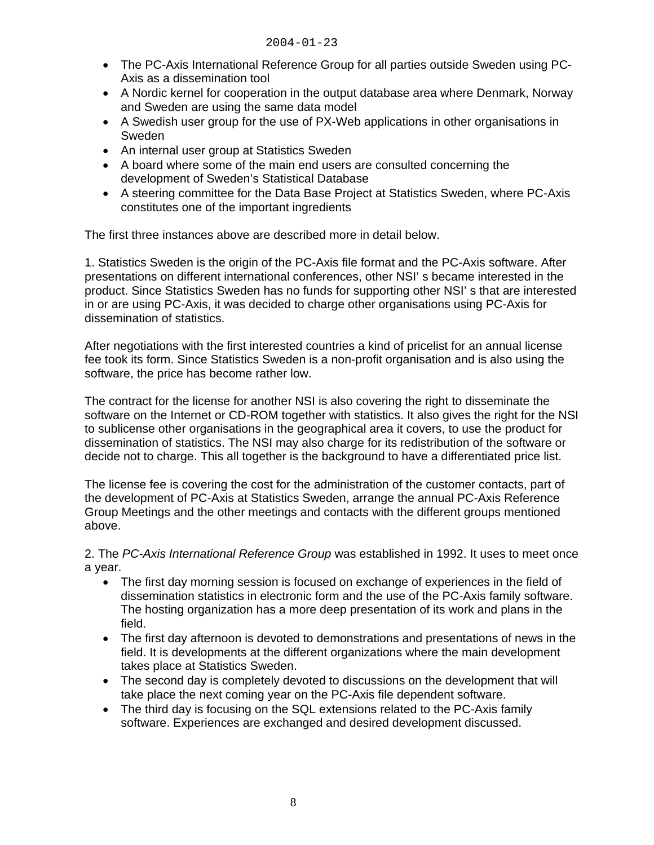- The PC-Axis International Reference Group for all parties outside Sweden using PC-Axis as a dissemination tool
- A Nordic kernel for cooperation in the output database area where Denmark, Norway and Sweden are using the same data model
- A Swedish user group for the use of PX-Web applications in other organisations in Sweden
- An internal user group at Statistics Sweden
- A board where some of the main end users are consulted concerning the development of Sweden's Statistical Database
- A steering committee for the Data Base Project at Statistics Sweden, where PC-Axis constitutes one of the important ingredients

The first three instances above are described more in detail below.

1. Statistics Sweden is the origin of the PC-Axis file format and the PC-Axis software. After presentations on different international conferences, other NSI' s became interested in the product. Since Statistics Sweden has no funds for supporting other NSI' s that are interested in or are using PC-Axis, it was decided to charge other organisations using PC-Axis for dissemination of statistics.

After negotiations with the first interested countries a kind of pricelist for an annual license fee took its form. Since Statistics Sweden is a non-profit organisation and is also using the software, the price has become rather low.

The contract for the license for another NSI is also covering the right to disseminate the software on the Internet or CD-ROM together with statistics. It also gives the right for the NSI to sublicense other organisations in the geographical area it covers, to use the product for dissemination of statistics. The NSI may also charge for its redistribution of the software or decide not to charge. This all together is the background to have a differentiated price list.

The license fee is covering the cost for the administration of the customer contacts, part of the development of PC-Axis at Statistics Sweden, arrange the annual PC-Axis Reference Group Meetings and the other meetings and contacts with the different groups mentioned above.

2. The *PC-Axis International Reference Group* was established in 1992. It uses to meet once a year.

- The first day morning session is focused on exchange of experiences in the field of dissemination statistics in electronic form and the use of the PC-Axis family software. The hosting organization has a more deep presentation of its work and plans in the field.
- The first day afternoon is devoted to demonstrations and presentations of news in the field. It is developments at the different organizations where the main development takes place at Statistics Sweden.
- The second day is completely devoted to discussions on the development that will take place the next coming year on the PC-Axis file dependent software.
- The third day is focusing on the SQL extensions related to the PC-Axis family software. Experiences are exchanged and desired development discussed.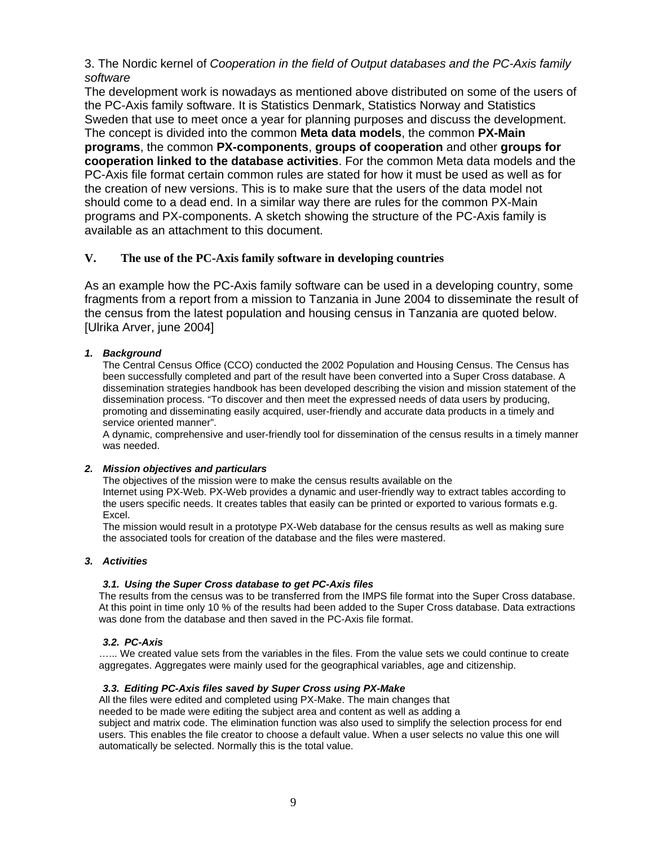3. The Nordic kernel of *Cooperation in the field of Output databases and the PC-Axis family software*

The development work is nowadays as mentioned above distributed on some of the users of the PC-Axis family software. It is Statistics Denmark, Statistics Norway and Statistics Sweden that use to meet once a year for planning purposes and discuss the development. The concept is divided into the common **Meta data models**, the common **PX-Main programs**, the common **PX-components**, **groups of cooperation** and other **groups for cooperation linked to the database activities**. For the common Meta data models and the PC-Axis file format certain common rules are stated for how it must be used as well as for the creation of new versions. This is to make sure that the users of the data model not should come to a dead end. In a similar way there are rules for the common PX-Main programs and PX-components. A sketch showing the structure of the PC-Axis family is available as an attachment to this document.

### **V. The use of the PC-Axis family software in developing countries**

As an example how the PC-Axis family software can be used in a developing country, some fragments from a report from a mission to Tanzania in June 2004 to disseminate the result of the census from the latest population and housing census in Tanzania are quoted below. [Ulrika Arver, june 2004]

### *1. Background*

The Central Census Office (CCO) conducted the 2002 Population and Housing Census. The Census has been successfully completed and part of the result have been converted into a Super Cross database. A dissemination strategies handbook has been developed describing the vision and mission statement of the dissemination process. "To discover and then meet the expressed needs of data users by producing, promoting and disseminating easily acquired, user-friendly and accurate data products in a timely and service oriented manner".

A dynamic, comprehensive and user-friendly tool for dissemination of the census results in a timely manner was needed.

#### *2. Mission objectives and particulars*

The objectives of the mission were to make the census results available on the Internet using PX-Web. PX-Web provides a dynamic and user-friendly way to extract tables according to the users specific needs. It creates tables that easily can be printed or exported to various formats e.g. Excel.

The mission would result in a prototype PX-Web database for the census results as well as making sure the associated tools for creation of the database and the files were mastered.

#### *3. Activities*

#### *3.1. Using the Super Cross database to get PC-Axis files*

The results from the census was to be transferred from the IMPS file format into the Super Cross database. At this point in time only 10 % of the results had been added to the Super Cross database. Data extractions was done from the database and then saved in the PC-Axis file format.

#### *3.2. PC-Axis*

…... We created value sets from the variables in the files. From the value sets we could continue to create aggregates. Aggregates were mainly used for the geographical variables, age and citizenship.

#### *3.3. Editing PC-Axis files saved by Super Cross using PX-Make*

All the files were edited and completed using PX-Make. The main changes that

needed to be made were editing the subject area and content as well as adding a

subject and matrix code. The elimination function was also used to simplify the selection process for end users. This enables the file creator to choose a default value. When a user selects no value this one will automatically be selected. Normally this is the total value.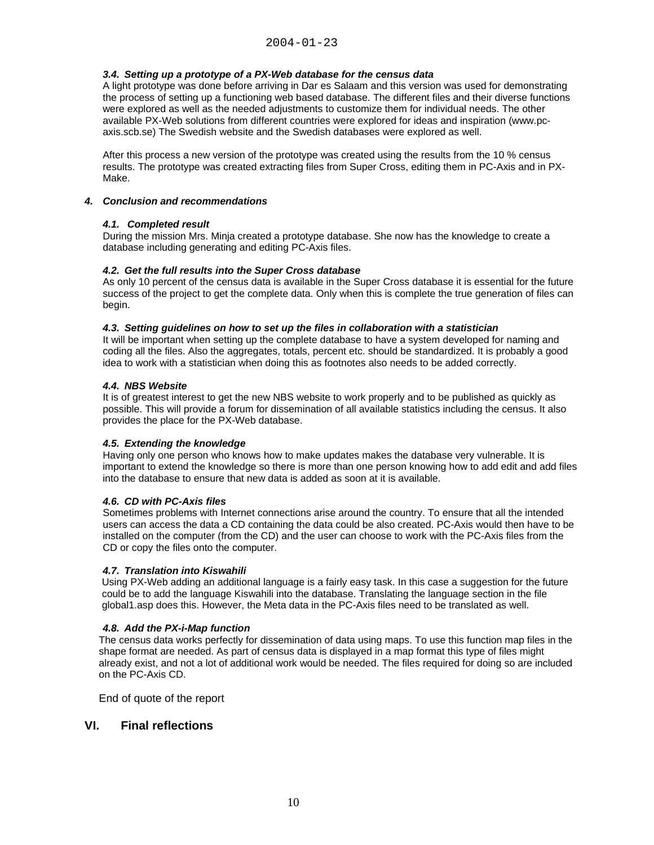#### *3.4. Setting up a prototype of a PX-Web database for the census data*

A light prototype was done before arriving in Dar es Salaam and this version was used for demonstrating the process of setting up a functioning web based database. The different files and their diverse functions were explored as well as the needed adjustments to customize them for individual needs. The other available PX-Web solutions from different countries were explored for ideas and inspiration (www.pcaxis.scb.se) The Swedish website and the Swedish databases were explored as well.

After this process a new version of the prototype was created using the results from the 10 % census results. The prototype was created extracting files from Super Cross, editing them in PC-Axis and in PX-Make.

#### *4. Conclusion and recommendations*

#### *4.1. Completed result*

During the mission Mrs. Minja created a prototype database. She now has the knowledge to create a database including generating and editing PC-Axis files.

#### *4.2. Get the full results into the Super Cross database*

As only 10 percent of the census data is available in the Super Cross database it is essential for the future success of the project to get the complete data. Only when this is complete the true generation of files can begin.

#### *4.3. Setting guidelines on how to set up the files in collaboration with a statistician*

It will be important when setting up the complete database to have a system developed for naming and coding all the files. Also the aggregates, totals, percent etc. should be standardized. It is probably a good idea to work with a statistician when doing this as footnotes also needs to be added correctly.

#### *4.4. NBS Website*

It is of greatest interest to get the new NBS website to work properly and to be published as quickly as possible. This will provide a forum for dissemination of all available statistics including the census. It also provides the place for the PX-Web database.

#### *4.5. Extending the knowledge*

Having only one person who knows how to make updates makes the database very vulnerable. It is important to extend the knowledge so there is more than one person knowing how to add edit and add files into the database to ensure that new data is added as soon at it is available.

#### *4.6. CD with PC-Axis files*

Sometimes problems with Internet connections arise around the country. To ensure that all the intended users can access the data a CD containing the data could be also created. PC-Axis would then have to be installed on the computer (from the CD) and the user can choose to work with the PC-Axis files from the CD or copy the files onto the computer.

#### *4.7. Translation into Kiswahili*

Using PX-Web adding an additional language is a fairly easy task. In this case a suggestion for the future could be to add the language Kiswahili into the database. Translating the language section in the file global1.asp does this. However, the Meta data in the PC-Axis files need to be translated as well.

#### *4.8. Add the PX-i-Map function*

The census data works perfectly for dissemination of data using maps. To use this function map files in the shape format are needed. As part of census data is displayed in a map format this type of files might already exist, and not a lot of additional work would be needed. The files required for doing so are included on the PC-Axis CD.

End of quote of the report

### **VI. Final reflections**